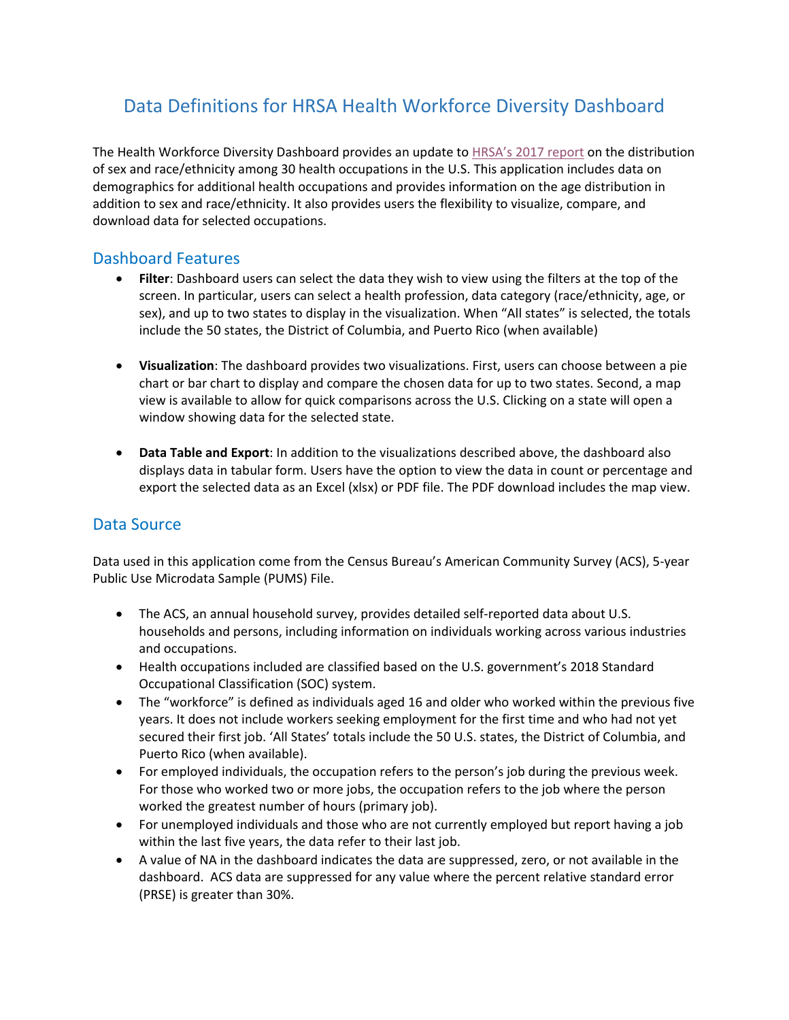# Data Definitions for HRSA Health Workforce Diversity Dashboard

The Health Workforce Diversity Dashboard provides an update to [HRSA's 2017 report](https://bhw.hrsa.gov/sites/default/files/bureau-health-workforce/data-research/diversity-us-health-occupations.pdf) on the distribution of sex and race/ethnicity among 30 health occupations in the U.S. This application includes data on demographics for additional health occupations and provides information on the age distribution in addition to sex and race/ethnicity. It also provides users the flexibility to visualize, compare, and download data for selected occupations.

### Dashboard Features

- **Filter**: Dashboard users can select the data they wish to view using the filters at the top of the screen. In particular, users can select a health profession, data category (race/ethnicity, age, or sex), and up to two states to display in the visualization. When "All states" is selected, the totals include the 50 states, the District of Columbia, and Puerto Rico (when available)
- **Visualization**: The dashboard provides two visualizations. First, users can choose between a pie chart or bar chart to display and compare the chosen data for up to two states. Second, a map view is available to allow for quick comparisons across the U.S. Clicking on a state will open a window showing data for the selected state.
- **Data Table and Export**: In addition to the visualizations described above, the dashboard also displays data in tabular form. Users have the option to view the data in count or percentage and export the selected data as an Excel (xlsx) or PDF file. The PDF download includes the map view.

# Data Source

Data used in this application come from the Census Bureau's American Community Survey (ACS), 5-year Public Use Microdata Sample (PUMS) File.

- The ACS, an annual household survey, provides detailed self-reported data about U.S. households and persons, including information on individuals working across various industries and occupations.
- Health occupations included are classified based on the U.S. government's 2018 Standard Occupational Classification (SOC) system.
- The "workforce" is defined as individuals aged 16 and older who worked within the previous five years. It does not include workers seeking employment for the first time and who had not yet secured their first job. 'All States' totals include the 50 U.S. states, the District of Columbia, and Puerto Rico (when available).
- For employed individuals, the occupation refers to the person's job during the previous week. For those who worked two or more jobs, the occupation refers to the job where the person worked the greatest number of hours (primary job).
- For unemployed individuals and those who are not currently employed but report having a job within the last five years, the data refer to their last job.
- A value of NA in the dashboard indicates the data are suppressed, zero, or not available in the dashboard. ACS data are suppressed for any value where the percent relative standard error (PRSE) is greater than 30%.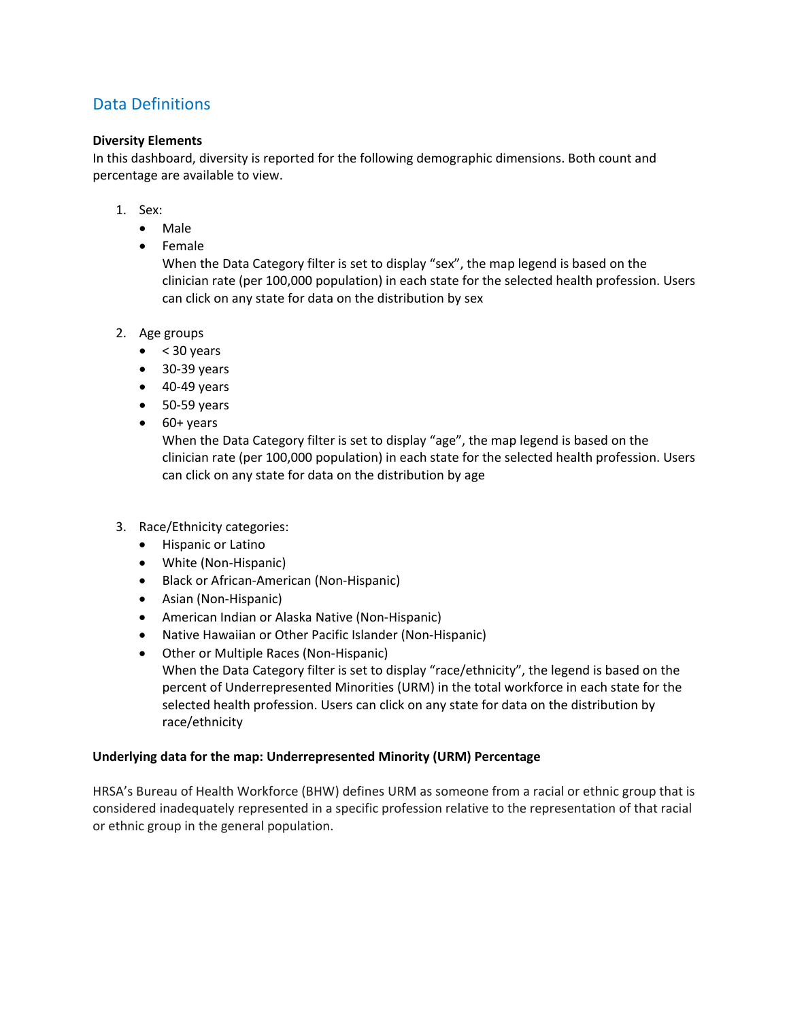# Data Definitions

#### **Diversity Elements**

In this dashboard, diversity is reported for the following demographic dimensions. Both count and percentage are available to view.

- 1. Sex:
	- Male
	- Female

When the Data Category filter is set to display "sex", the map legend is based on the clinician rate (per 100,000 population) in each state for the selected health profession. Users can click on any state for data on the distribution by sex

- 2. Age groups
	- $\bullet$  < 30 years
	- 30-39 years
	- $\bullet$  40-49 years
	- 50-59 years
	- 60+ years

When the Data Category filter is set to display "age", the map legend is based on the clinician rate (per 100,000 population) in each state for the selected health profession. Users can click on any state for data on the distribution by age

- 3. Race/Ethnicity categories:
	- Hispanic or Latino
	- White (Non-Hispanic)
	- Black or African-American (Non-Hispanic)
	- Asian (Non-Hispanic)
	- American Indian or Alaska Native (Non-Hispanic)
	- Native Hawaiian or Other Pacific Islander (Non-Hispanic)
	- Other or Multiple Races (Non-Hispanic) When the Data Category filter is set to display "race/ethnicity", the legend is based on the percent of Underrepresented Minorities (URM) in the total workforce in each state for the selected health profession. Users can click on any state for data on the distribution by race/ethnicity

#### **Underlying data for the map: Underrepresented Minority (URM) Percentage**

HRSA's Bureau of Health Workforce (BHW) defines URM as someone from a racial or ethnic group that is considered inadequately represented in a specific profession relative to the representation of that racial or ethnic group in the general population.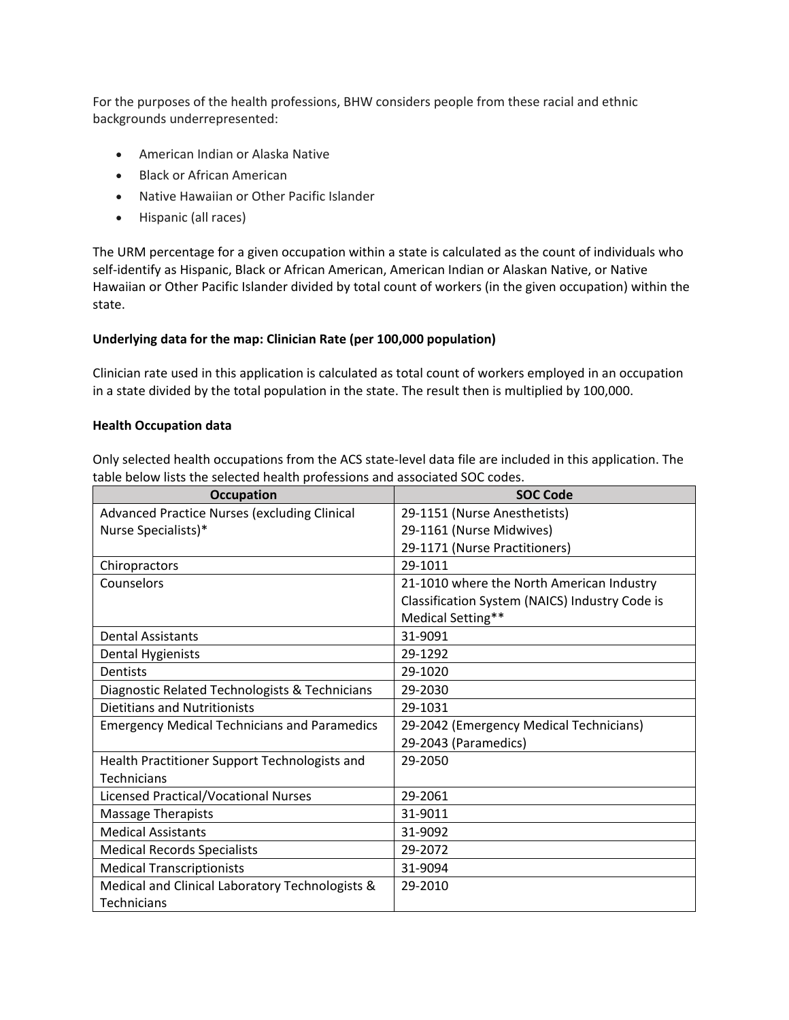For the purposes of the health professions, BHW considers people from these racial and ethnic backgrounds underrepresented:

- American Indian or Alaska Native
- Black or African American
- Native Hawaiian or Other Pacific Islander
- Hispanic (all races)

The URM percentage for a given occupation within a state is calculated as the count of individuals who self-identify as Hispanic, Black or African American, American Indian or Alaskan Native, or Native Hawaiian or Other Pacific Islander divided by total count of workers (in the given occupation) within the state.

#### **Underlying data for the map: Clinician Rate (per 100,000 population)**

Clinician rate used in this application is calculated as total count of workers employed in an occupation in a state divided by the total population in the state. The result then is multiplied by 100,000.

#### **Health Occupation data**

Only selected health occupations from the ACS state-level data file are included in this application. The table below lists the selected health professions and associated SOC codes.

| <b>Occupation</b>                                   | <b>SOC Code</b>                                |
|-----------------------------------------------------|------------------------------------------------|
| <b>Advanced Practice Nurses (excluding Clinical</b> | 29-1151 (Nurse Anesthetists)                   |
| Nurse Specialists)*                                 | 29-1161 (Nurse Midwives)                       |
|                                                     | 29-1171 (Nurse Practitioners)                  |
| Chiropractors                                       | 29-1011                                        |
| Counselors                                          | 21-1010 where the North American Industry      |
|                                                     | Classification System (NAICS) Industry Code is |
|                                                     | Medical Setting**                              |
| <b>Dental Assistants</b>                            | 31-9091                                        |
| <b>Dental Hygienists</b>                            | 29-1292                                        |
| <b>Dentists</b>                                     | 29-1020                                        |
| Diagnostic Related Technologists & Technicians      | 29-2030                                        |
| <b>Dietitians and Nutritionists</b>                 | 29-1031                                        |
| <b>Emergency Medical Technicians and Paramedics</b> | 29-2042 (Emergency Medical Technicians)        |
|                                                     | 29-2043 (Paramedics)                           |
| Health Practitioner Support Technologists and       | 29-2050                                        |
| <b>Technicians</b>                                  |                                                |
| <b>Licensed Practical/Vocational Nurses</b>         | 29-2061                                        |
| <b>Massage Therapists</b>                           | 31-9011                                        |
| <b>Medical Assistants</b>                           | 31-9092                                        |
| <b>Medical Records Specialists</b>                  | 29-2072                                        |
| <b>Medical Transcriptionists</b>                    | 31-9094                                        |
| Medical and Clinical Laboratory Technologists &     | 29-2010                                        |
| Technicians                                         |                                                |